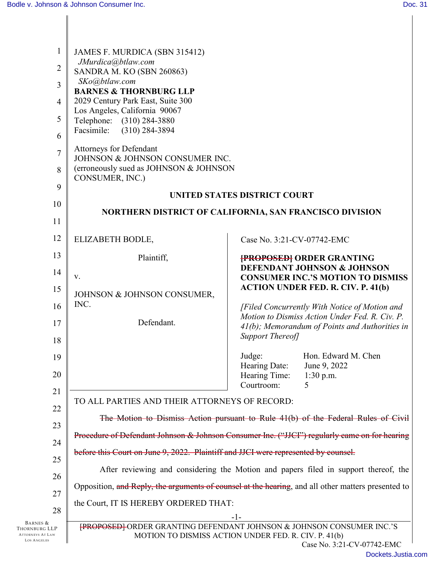| $\mathbf{1}$<br>$\overline{2}$<br>3<br>$\overline{4}$<br>5<br>6<br>$\overline{7}$<br>8<br>9 | JAMES F. MURDICA (SBN 315412)<br>JMurdica@btlaw.com<br>SANDRA M. KO (SBN 260863)<br>SKo@btlaw.com<br><b>BARNES &amp; THORNBURG LLP</b><br>2029 Century Park East, Suite 300<br>Los Angeles, California 90067<br>Telephone: (310) 284-3880<br>Facsimile:<br>$(310)$ 284-3894<br>Attorneys for Defendant<br>JOHNSON & JOHNSON CONSUMER INC.<br>(erroneously sued as JOHNSON & JOHNSON<br>CONSUMER, INC.) |                             |                                                                                                     |
|---------------------------------------------------------------------------------------------|--------------------------------------------------------------------------------------------------------------------------------------------------------------------------------------------------------------------------------------------------------------------------------------------------------------------------------------------------------------------------------------------------------|-----------------------------|-----------------------------------------------------------------------------------------------------|
| 10                                                                                          | <b>UNITED STATES DISTRICT COURT</b>                                                                                                                                                                                                                                                                                                                                                                    |                             |                                                                                                     |
| 11                                                                                          | NORTHERN DISTRICT OF CALIFORNIA, SAN FRANCISCO DIVISION                                                                                                                                                                                                                                                                                                                                                |                             |                                                                                                     |
| 12                                                                                          | ELIZABETH BODLE,                                                                                                                                                                                                                                                                                                                                                                                       | Case No. 3:21-CV-07742-EMC  |                                                                                                     |
| 13                                                                                          | Plaintiff,                                                                                                                                                                                                                                                                                                                                                                                             |                             | <b>{PROPOSED}</b> ORDER GRANTING                                                                    |
| 14                                                                                          | V.                                                                                                                                                                                                                                                                                                                                                                                                     |                             | <b>DEFENDANT JOHNSON &amp; JOHNSON</b><br><b>CONSUMER INC.'S MOTION TO DISMISS</b>                  |
| 15                                                                                          | JOHNSON & JOHNSON CONSUMER,                                                                                                                                                                                                                                                                                                                                                                            |                             | <b>ACTION UNDER FED. R. CIV. P. 41(b)</b>                                                           |
| 16                                                                                          | INC.                                                                                                                                                                                                                                                                                                                                                                                                   |                             | [Filed Concurrently With Notice of Motion and                                                       |
| 17                                                                                          | Defendant.                                                                                                                                                                                                                                                                                                                                                                                             | Support Thereof]            | Motion to Dismiss Action Under Fed. R. Civ. P.<br>$41(b)$ ; Memorandum of Points and Authorities in |
| 18                                                                                          |                                                                                                                                                                                                                                                                                                                                                                                                        | Judge:                      | Hon. Edward M. Chen                                                                                 |
| 19                                                                                          |                                                                                                                                                                                                                                                                                                                                                                                                        | Hearing Date:               | June 9, 2022                                                                                        |
| 20                                                                                          |                                                                                                                                                                                                                                                                                                                                                                                                        | Hearing Time:<br>Courtroom: | $1:30$ p.m.<br>5                                                                                    |
| 21                                                                                          | TO ALL PARTIES AND THEIR ATTORNEYS OF RECORD:                                                                                                                                                                                                                                                                                                                                                          |                             |                                                                                                     |
| 22                                                                                          | The Motion to Dismiss Action pursuant to Rule 41(b) of the Federal Rules of Civil                                                                                                                                                                                                                                                                                                                      |                             |                                                                                                     |
| 23                                                                                          | Procedure of Defendant Johnson & Johnson Consumer Inc. ("JJCI") regularly came on for hearing                                                                                                                                                                                                                                                                                                          |                             |                                                                                                     |
| 24                                                                                          | before this Court on June 9, 2022. Plaintiff and JJCI were represented by counsel.                                                                                                                                                                                                                                                                                                                     |                             |                                                                                                     |
| 25                                                                                          | After reviewing and considering the Motion and papers filed in support thereof, the                                                                                                                                                                                                                                                                                                                    |                             |                                                                                                     |
| 26<br>27                                                                                    | Opposition, and Reply, the arguments of counsel at the hearing, and all other matters presented to                                                                                                                                                                                                                                                                                                     |                             |                                                                                                     |
| 28                                                                                          | the Court, IT IS HEREBY ORDERED THAT:                                                                                                                                                                                                                                                                                                                                                                  |                             |                                                                                                     |
| BARNES &                                                                                    | $-1-$<br>FROPOSEDI ORDER GRANTING DEFENDANT JOHNSON & JOHNSON CONSUMER INC.'S                                                                                                                                                                                                                                                                                                                          |                             |                                                                                                     |
| Thornburg LLP<br><b>ATTORNEYS AT LAW</b><br><b>LOS ANGELES</b>                              | MOTION TO DISMISS ACTION UNDER FED. R. CIV. P. 41(b)                                                                                                                                                                                                                                                                                                                                                   |                             | Case No. 3:21-CV-07742-EMC                                                                          |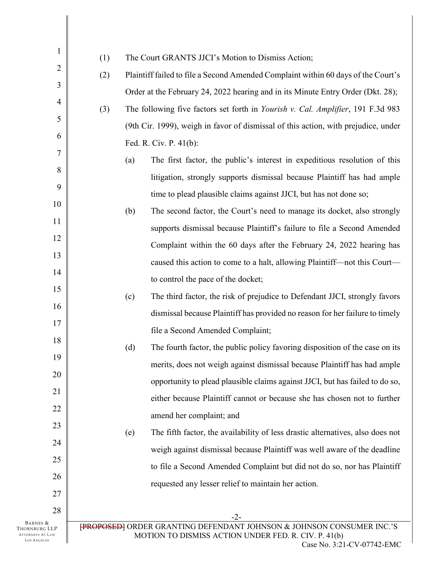| $\mathbf{1}$                                                               | The Court GRANTS JJCI's Motion to Dismiss Action;<br>(1)                                                                                                                  |  |  |
|----------------------------------------------------------------------------|---------------------------------------------------------------------------------------------------------------------------------------------------------------------------|--|--|
| $\overline{2}$                                                             | Plaintiff failed to file a Second Amended Complaint within 60 days of the Court's<br>(2)                                                                                  |  |  |
| $\mathfrak{Z}$                                                             | Order at the February 24, 2022 hearing and in its Minute Entry Order (Dkt. 28);                                                                                           |  |  |
| $\overline{4}$                                                             | (3)<br>The following five factors set forth in <i>Yourish v. Cal. Amplifier</i> , 191 F.3d 983                                                                            |  |  |
| 5                                                                          | (9th Cir. 1999), weigh in favor of dismissal of this action, with prejudice, under                                                                                        |  |  |
| 6                                                                          | Fed. R. Civ. P. 41(b):                                                                                                                                                    |  |  |
| 7                                                                          | The first factor, the public's interest in expeditious resolution of this<br>(a)                                                                                          |  |  |
| 8                                                                          | litigation, strongly supports dismissal because Plaintiff has had ample                                                                                                   |  |  |
| 9                                                                          | time to plead plausible claims against JJCI, but has not done so;                                                                                                         |  |  |
| 10                                                                         | (b)<br>The second factor, the Court's need to manage its docket, also strongly                                                                                            |  |  |
| 11                                                                         |                                                                                                                                                                           |  |  |
| 12                                                                         | supports dismissal because Plaintiff's failure to file a Second Amended                                                                                                   |  |  |
| 13                                                                         | Complaint within the 60 days after the February 24, 2022 hearing has                                                                                                      |  |  |
| 14                                                                         | caused this action to come to a halt, allowing Plaintiff—not this Court—                                                                                                  |  |  |
| 15                                                                         | to control the pace of the docket;                                                                                                                                        |  |  |
| 16                                                                         | (c)<br>The third factor, the risk of prejudice to Defendant JJCI, strongly favors                                                                                         |  |  |
| 17                                                                         | dismissal because Plaintiff has provided no reason for her failure to timely                                                                                              |  |  |
| 18                                                                         | file a Second Amended Complaint;                                                                                                                                          |  |  |
|                                                                            | The fourth factor, the public policy favoring disposition of the case on its<br>(d)                                                                                       |  |  |
| 19                                                                         | merits, does not weigh against dismissal because Plaintiff has had ample                                                                                                  |  |  |
| 20                                                                         | opportunity to plead plausible claims against JJCI, but has failed to do so,                                                                                              |  |  |
| 21                                                                         | either because Plaintiff cannot or because she has chosen not to further                                                                                                  |  |  |
| 22                                                                         | amend her complaint; and                                                                                                                                                  |  |  |
| 23                                                                         | The fifth factor, the availability of less drastic alternatives, also does not<br>(e)                                                                                     |  |  |
| 24                                                                         | weigh against dismissal because Plaintiff was well aware of the deadline                                                                                                  |  |  |
| 25                                                                         | to file a Second Amended Complaint but did not do so, nor has Plaintiff                                                                                                   |  |  |
| 26                                                                         | requested any lesser relief to maintain her action.                                                                                                                       |  |  |
| 27                                                                         |                                                                                                                                                                           |  |  |
| 28                                                                         | $-2-$                                                                                                                                                                     |  |  |
| BARNES &<br>Thornburg LLP<br><b>ATTORNEYS AT LAW</b><br><b>LOS ANGELES</b> | [PROPOSED] ORDER GRANTING DEFENDANT JOHNSON & JOHNSON CONSUMER INC.'S<br>MOTION TO DISMISS ACTION UNDER FED. R. CIV. P. 41(b)<br>$C_{0.92}$ $N_{\odot}$ 2.21 CV 07742 EMC |  |  |